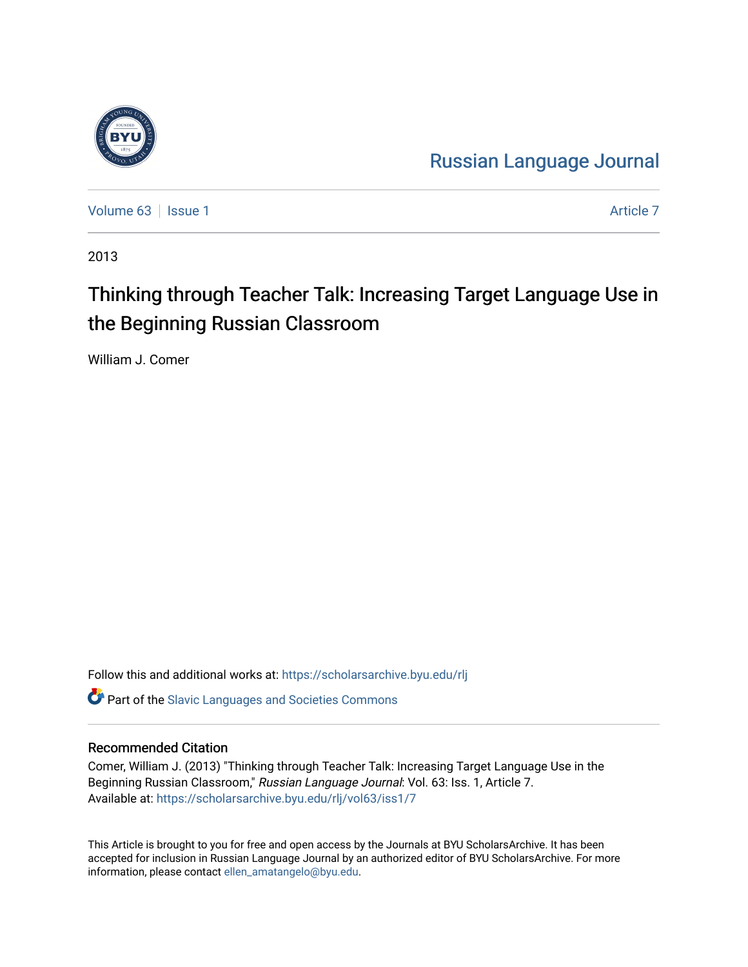

[Russian Language Journal](https://scholarsarchive.byu.edu/rlj) 

[Volume 63](https://scholarsarchive.byu.edu/rlj/vol63) | [Issue 1](https://scholarsarchive.byu.edu/rlj/vol63/iss1) [Article 7](https://scholarsarchive.byu.edu/rlj/vol63/iss1/7) Article 7 Article 7 Article 7 Article 7 Article 7 Article 7

2013

# Thinking through Teacher Talk: Increasing Target Language Use in the Beginning Russian Classroom

William J. Comer

Follow this and additional works at: [https://scholarsarchive.byu.edu/rlj](https://scholarsarchive.byu.edu/rlj?utm_source=scholarsarchive.byu.edu%2Frlj%2Fvol63%2Fiss1%2F7&utm_medium=PDF&utm_campaign=PDFCoverPages)

**C** Part of the Slavic Languages and Societies Commons

#### Recommended Citation

Comer, William J. (2013) "Thinking through Teacher Talk: Increasing Target Language Use in the Beginning Russian Classroom," Russian Language Journal: Vol. 63: Iss. 1, Article 7. Available at: [https://scholarsarchive.byu.edu/rlj/vol63/iss1/7](https://scholarsarchive.byu.edu/rlj/vol63/iss1/7?utm_source=scholarsarchive.byu.edu%2Frlj%2Fvol63%2Fiss1%2F7&utm_medium=PDF&utm_campaign=PDFCoverPages) 

This Article is brought to you for free and open access by the Journals at BYU ScholarsArchive. It has been accepted for inclusion in Russian Language Journal by an authorized editor of BYU ScholarsArchive. For more information, please contact [ellen\\_amatangelo@byu.edu.](mailto:ellen_amatangelo@byu.edu)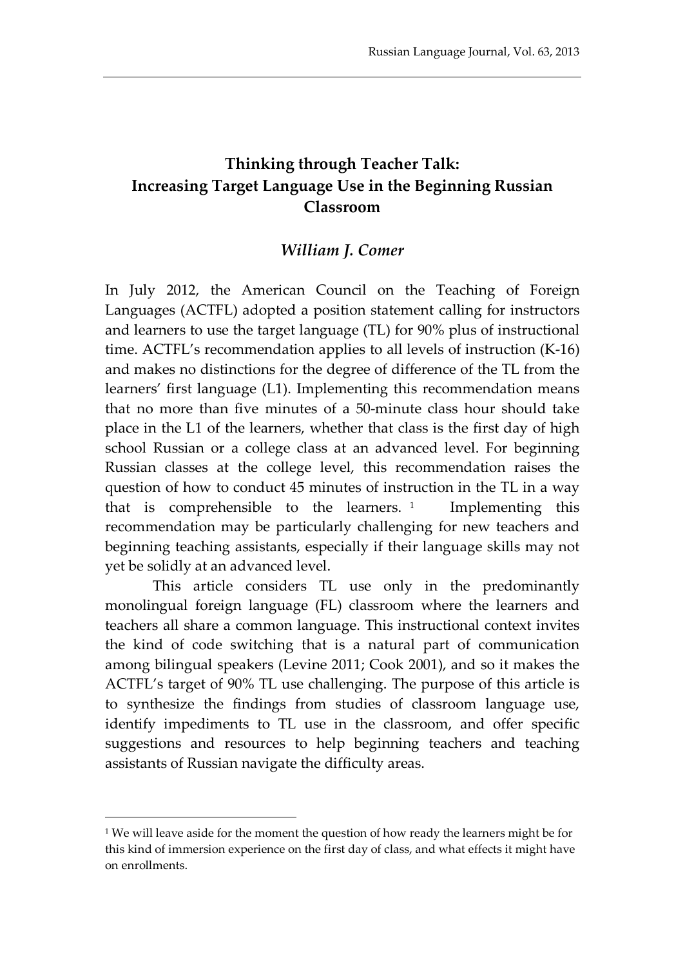## **Thinking through Teacher Talk: Increasing Target Language Use in the Beginning Russian Classroom**

### *William J. Comer*

In July 2012, the American Council on the Teaching of Foreign Languages (ACTFL) adopted a position statement calling for instructors and learners to use the target language (TL) for 90% plus of instructional time. ACTFL's recommendation applies to all levels of instruction (K-16) and makes no distinctions for the degree of difference of the TL from the learners' first language (L1). Implementing this recommendation means that no more than five minutes of a 50-minute class hour should take place in the L1 of the learners, whether that class is the first day of high school Russian or a college class at an advanced level. For beginning Russian classes at the college level, this recommendation raises the question of how to conduct 45 minutes of instruction in the TL in a way that is comprehensible to the learners.  $1$  Implementing this recommendation may be particularly challenging for new teachers and beginning teaching assistants, especially if their language skills may not yet be solidly at an advanced level.

This article considers TL use only in the predominantly monolingual foreign language (FL) classroom where the learners and teachers all share a common language. This instructional context invites the kind of code switching that is a natural part of communication among bilingual speakers (Levine 2011; Cook 2001), and so it makes the ACTFL's target of 90% TL use challenging. The purpose of this article is to synthesize the findings from studies of classroom language use, identify impediments to TL use in the classroom, and offer specific suggestions and resources to help beginning teachers and teaching assistants of Russian navigate the difficulty areas.

<span id="page-1-0"></span><sup>&</sup>lt;sup>1</sup> We will leave aside for the moment the question of how ready the learners might be for this kind of immersion experience on the first day of class, and what effects it might have on enrollments.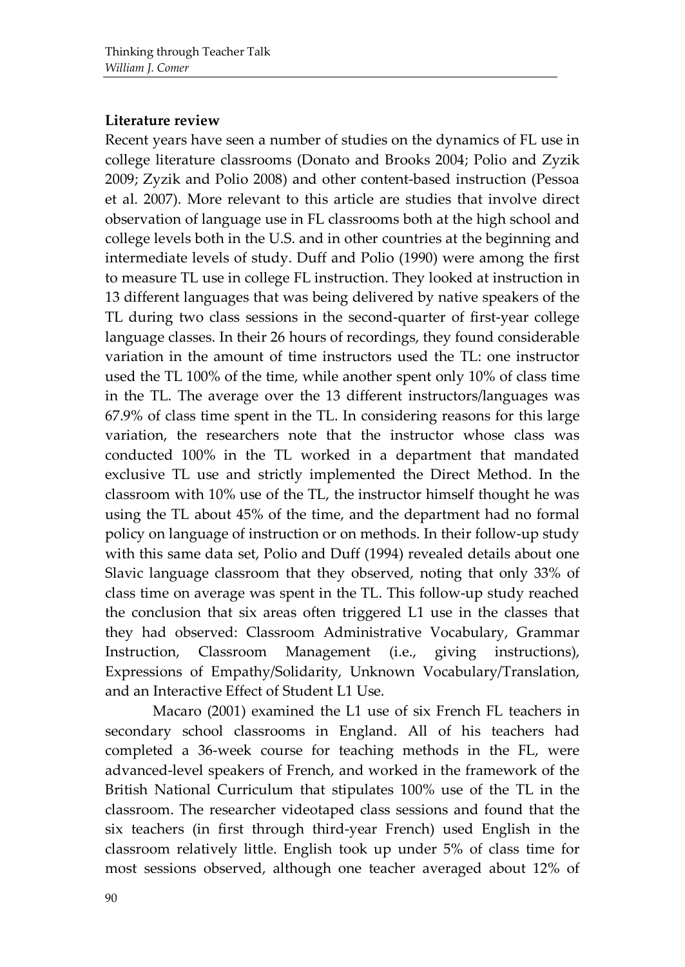### **Literature review**

Recent years have seen a number of studies on the dynamics of FL use in college literature classrooms (Donato and Brooks 2004; Polio and Zyzik 2009; Zyzik and Polio 2008) and other content-based instruction (Pessoa et al. 2007). More relevant to this article are studies that involve direct observation of language use in FL classrooms both at the high school and college levels both in the U.S. and in other countries at the beginning and intermediate levels of study. Duff and Polio (1990) were among the first to measure TL use in college FL instruction. They looked at instruction in 13 different languages that was being delivered by native speakers of the TL during two class sessions in the second-quarter of first-year college language classes. In their 26 hours of recordings, they found considerable variation in the amount of time instructors used the TL: one instructor used the TL 100% of the time, while another spent only 10% of class time in the TL. The average over the 13 different instructors/languages was 67.9% of class time spent in the TL. In considering reasons for this large variation, the researchers note that the instructor whose class was conducted 100% in the TL worked in a department that mandated exclusive TL use and strictly implemented the Direct Method. In the classroom with 10% use of the TL, the instructor himself thought he was using the TL about 45% of the time, and the department had no formal policy on language of instruction or on methods. In their follow-up study with this same data set, Polio and Duff (1994) revealed details about one Slavic language classroom that they observed, noting that only 33% of class time on average was spent in the TL. This follow-up study reached the conclusion that six areas often triggered L1 use in the classes that they had observed: Classroom Administrative Vocabulary, Grammar Instruction, Classroom Management (i.e., giving instructions), Expressions of Empathy/Solidarity, Unknown Vocabulary/Translation, and an Interactive Effect of Student L1 Use.

Macaro (2001) examined the L1 use of six French FL teachers in secondary school classrooms in England. All of his teachers had completed a 36-week course for teaching methods in the FL, were advanced-level speakers of French, and worked in the framework of the British National Curriculum that stipulates 100% use of the TL in the classroom. The researcher videotaped class sessions and found that the six teachers (in first through third-year French) used English in the classroom relatively little. English took up under 5% of class time for most sessions observed, although one teacher averaged about 12% of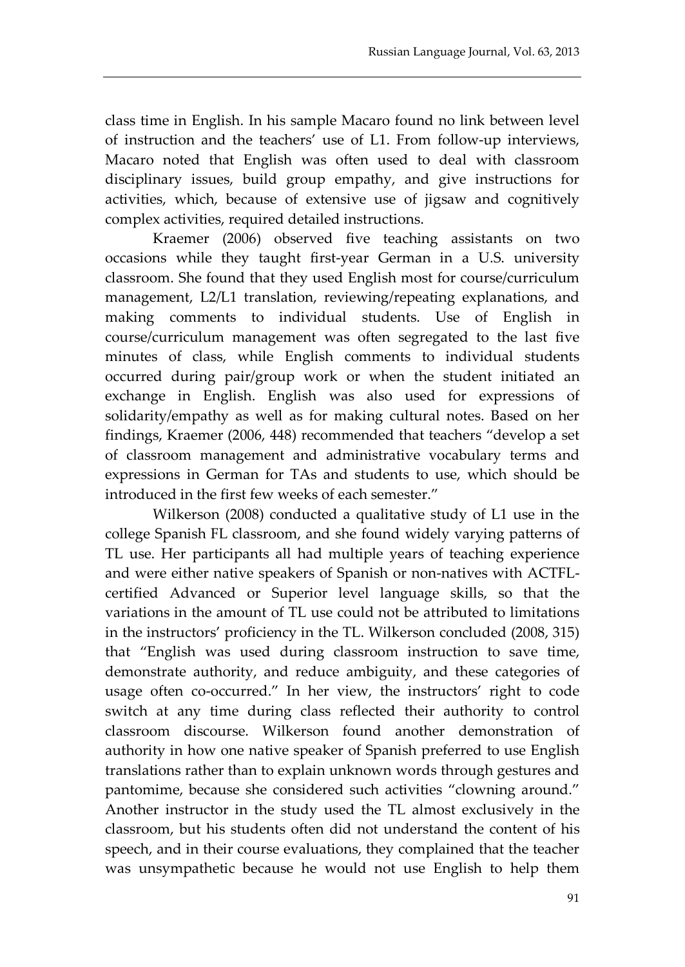class time in English. In his sample Macaro found no link between level of instruction and the teachers' use of L1. From follow-up interviews, Macaro noted that English was often used to deal with classroom disciplinary issues, build group empathy, and give instructions for activities, which, because of extensive use of jigsaw and cognitively complex activities, required detailed instructions.

Kraemer (2006) observed five teaching assistants on two occasions while they taught first-year German in a U.S. university classroom. She found that they used English most for course/curriculum management, L2/L1 translation, reviewing/repeating explanations, and making comments to individual students. Use of English in course/curriculum management was often segregated to the last five minutes of class, while English comments to individual students occurred during pair/group work or when the student initiated an exchange in English. English was also used for expressions of solidarity/empathy as well as for making cultural notes. Based on her findings, Kraemer (2006, 448) recommended that teachers "develop a set of classroom management and administrative vocabulary terms and expressions in German for TAs and students to use, which should be introduced in the first few weeks of each semester."

Wilkerson (2008) conducted a qualitative study of L1 use in the college Spanish FL classroom, and she found widely varying patterns of TL use. Her participants all had multiple years of teaching experience and were either native speakers of Spanish or non-natives with ACTFLcertified Advanced or Superior level language skills, so that the variations in the amount of TL use could not be attributed to limitations in the instructors' proficiency in the TL. Wilkerson concluded (2008, 315) that "English was used during classroom instruction to save time, demonstrate authority, and reduce ambiguity, and these categories of usage often co-occurred." In her view, the instructors' right to code switch at any time during class reflected their authority to control classroom discourse. Wilkerson found another demonstration of authority in how one native speaker of Spanish preferred to use English translations rather than to explain unknown words through gestures and pantomime, because she considered such activities "clowning around." Another instructor in the study used the TL almost exclusively in the classroom, but his students often did not understand the content of his speech, and in their course evaluations, they complained that the teacher was unsympathetic because he would not use English to help them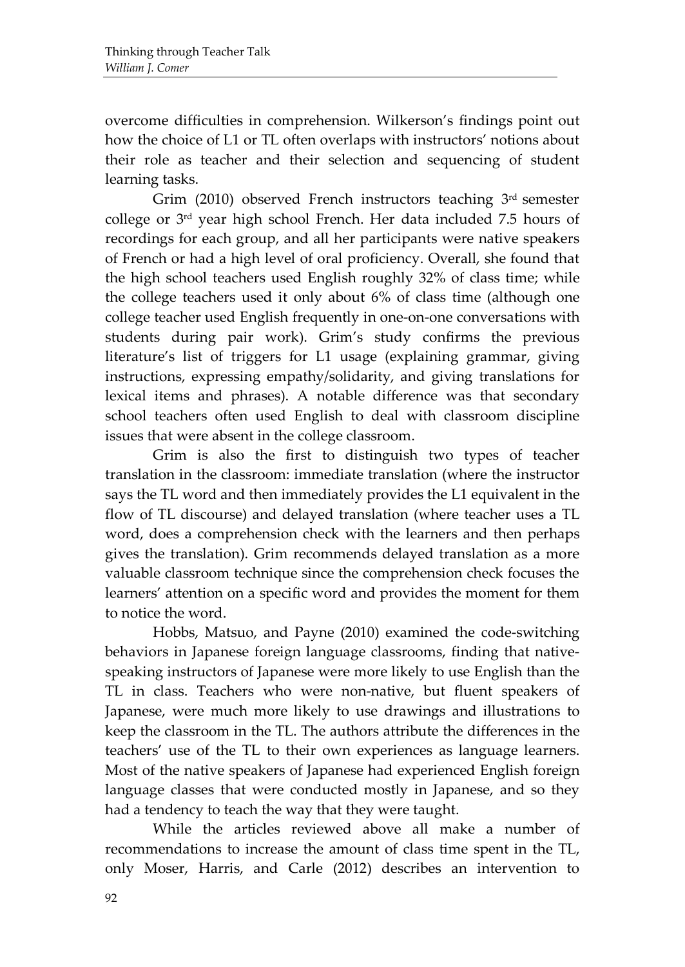overcome difficulties in comprehension. Wilkerson's findings point out how the choice of L1 or TL often overlaps with instructors' notions about their role as teacher and their selection and sequencing of student learning tasks.

Grim (2010) observed French instructors teaching 3rd semester college or 3rd year high school French. Her data included 7.5 hours of recordings for each group, and all her participants were native speakers of French or had a high level of oral proficiency. Overall, she found that the high school teachers used English roughly 32% of class time; while the college teachers used it only about 6% of class time (although one college teacher used English frequently in one-on-one conversations with students during pair work). Grim's study confirms the previous literature's list of triggers for L1 usage (explaining grammar, giving instructions, expressing empathy/solidarity, and giving translations for lexical items and phrases). A notable difference was that secondary school teachers often used English to deal with classroom discipline issues that were absent in the college classroom.

Grim is also the first to distinguish two types of teacher translation in the classroom: immediate translation (where the instructor says the TL word and then immediately provides the L1 equivalent in the flow of TL discourse) and delayed translation (where teacher uses a TL word, does a comprehension check with the learners and then perhaps gives the translation). Grim recommends delayed translation as a more valuable classroom technique since the comprehension check focuses the learners' attention on a specific word and provides the moment for them to notice the word.

Hobbs, Matsuo, and Payne (2010) examined the code-switching behaviors in Japanese foreign language classrooms, finding that nativespeaking instructors of Japanese were more likely to use English than the TL in class. Teachers who were non-native, but fluent speakers of Japanese, were much more likely to use drawings and illustrations to keep the classroom in the TL. The authors attribute the differences in the teachers' use of the TL to their own experiences as language learners. Most of the native speakers of Japanese had experienced English foreign language classes that were conducted mostly in Japanese, and so they had a tendency to teach the way that they were taught.

While the articles reviewed above all make a number of recommendations to increase the amount of class time spent in the TL, only Moser, Harris, and Carle (2012) describes an intervention to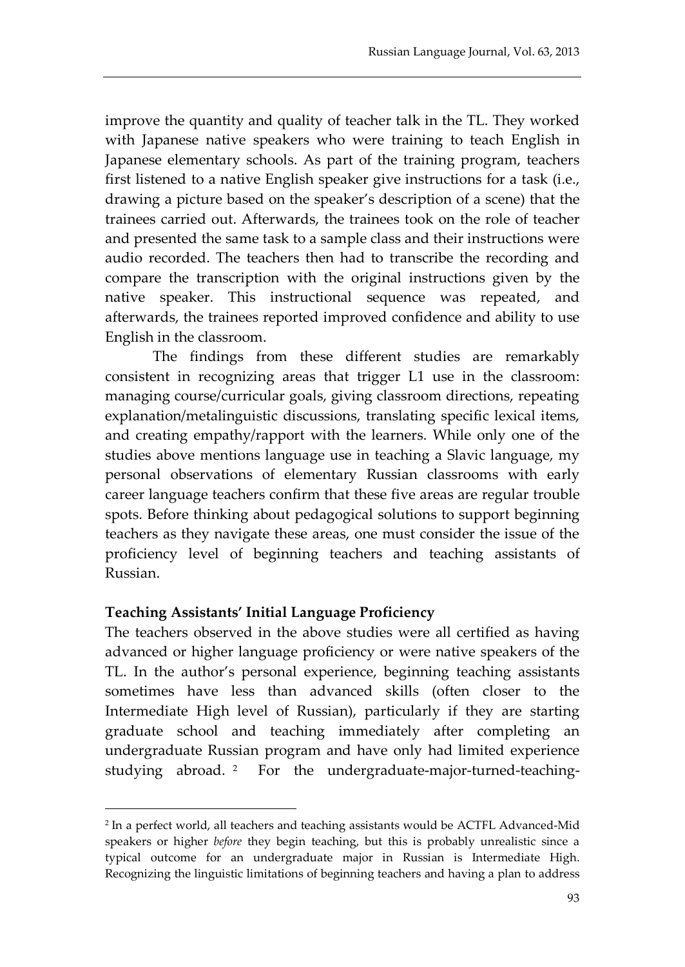improve the quantity and quality of teacher talk in the TL. They worked with Japanese native speakers who were training to teach English in Japanese elementary schools. As part of the training program, teachers first listened to a native English speaker give instructions for a task (i.e., drawing a picture based on the speaker's description of a scene) that the trainees carried out. Afterwards, the trainees took on the role of teacher and presented the same task to a sample class and their instructions were audio recorded. The teachers then had to transcribe the recording and compare the transcription with the original instructions given by the native speaker. This instructional sequence was repeated, and afterwards, the trainees reported improved confidence and ability to use English in the classroom.

The findings from these different studies are remarkably consistent in recognizing areas that trigger L1 use in the classroom: managing course/curricular goals, giving classroom directions, repeating explanation/metalinguistic discussions, translating specific lexical items, and creating empathy/rapport with the learners. While only one of the studies above mentions language use in teaching a Slavic language, my personal observations of elementary Russian classrooms with early career language teachers confirm that these five areas are regular trouble spots. Before thinking about pedagogical solutions to support beginning teachers as they navigate these areas, one must consider the issue of the proficiency level of beginning teachers and teaching assistants of Russian.

## **Teaching Assistants' Initial Language Proficiency**

 $\overline{a}$ 

The teachers observed in the above studies were all certified as having advanced or higher language proficiency or were native speakers of the TL. In the author's personal experience, beginning teaching assistants sometimes have less than advanced skills (often closer to the Intermediate High level of Russian), particularly if they are starting graduate school and teaching immediately after completing an undergraduate Russian program and have only had limited experience studying abroad. [2](#page-5-0) For the undergraduate-major-turned-teaching-

<span id="page-5-0"></span><sup>2</sup> In a perfect world, all teachers and teaching assistants would be ACTFL Advanced-Mid speakers or higher *before* they begin teaching, but this is probably unrealistic since a typical outcome for an undergraduate major in Russian is Intermediate High. Recognizing the linguistic limitations of beginning teachers and having a plan to address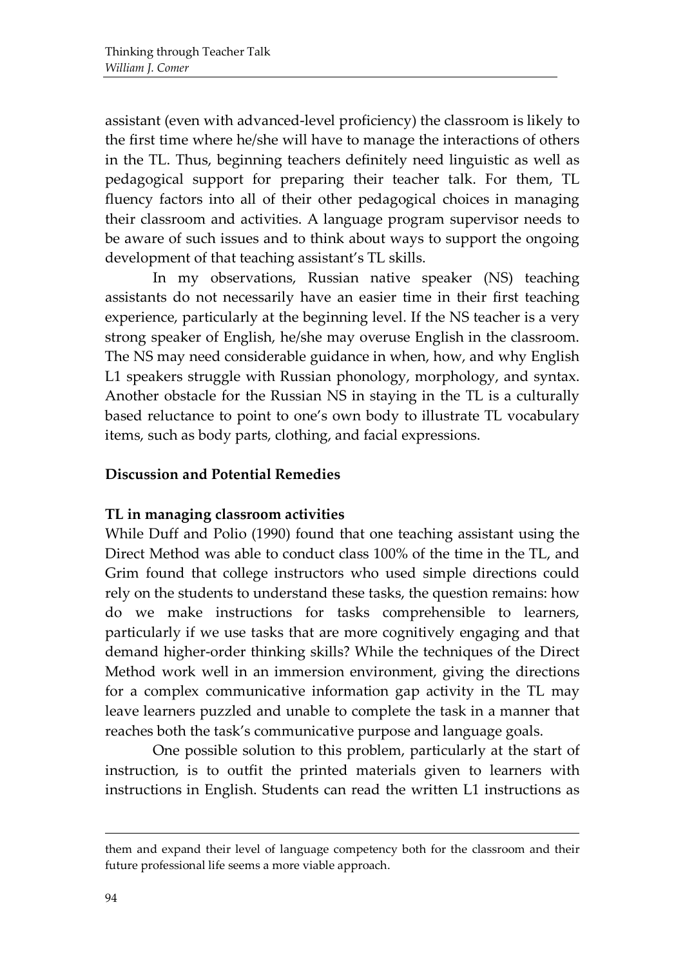assistant (even with advanced-level proficiency) the classroom is likely to the first time where he/she will have to manage the interactions of others in the TL. Thus, beginning teachers definitely need linguistic as well as pedagogical support for preparing their teacher talk. For them, TL fluency factors into all of their other pedagogical choices in managing their classroom and activities. A language program supervisor needs to be aware of such issues and to think about ways to support the ongoing development of that teaching assistant's TL skills.

In my observations, Russian native speaker (NS) teaching assistants do not necessarily have an easier time in their first teaching experience, particularly at the beginning level. If the NS teacher is a very strong speaker of English, he/she may overuse English in the classroom. The NS may need considerable guidance in when, how, and why English L1 speakers struggle with Russian phonology, morphology, and syntax. Another obstacle for the Russian NS in staying in the TL is a culturally based reluctance to point to one's own body to illustrate TL vocabulary items, such as body parts, clothing, and facial expressions.

#### **Discussion and Potential Remedies**

## **TL in managing classroom activities**

While Duff and Polio (1990) found that one teaching assistant using the Direct Method was able to conduct class 100% of the time in the TL, and Grim found that college instructors who used simple directions could rely on the students to understand these tasks, the question remains: how do we make instructions for tasks comprehensible to learners, particularly if we use tasks that are more cognitively engaging and that demand higher-order thinking skills? While the techniques of the Direct Method work well in an immersion environment, giving the directions for a complex communicative information gap activity in the TL may leave learners puzzled and unable to complete the task in a manner that reaches both the task's communicative purpose and language goals.

One possible solution to this problem, particularly at the start of instruction, is to outfit the printed materials given to learners with instructions in English. Students can read the written L1 instructions as

them and expand their level of language competency both for the classroom and their future professional life seems a more viable approach.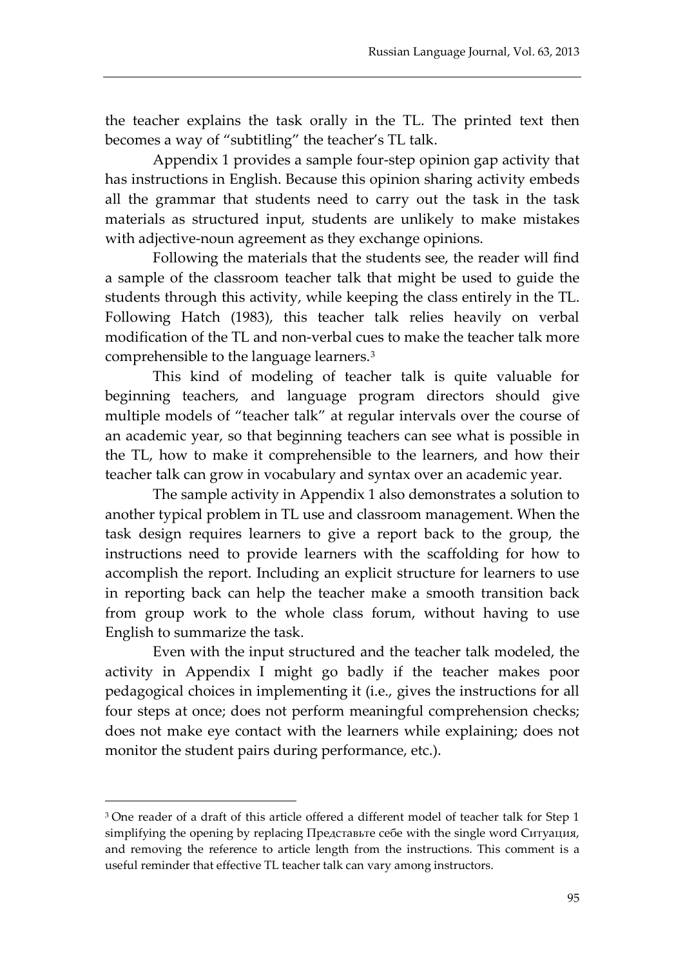the teacher explains the task orally in the TL. The printed text then becomes a way of "subtitling" the teacher's TL talk.

Appendix 1 provides a sample four-step opinion gap activity that has instructions in English. Because this opinion sharing activity embeds all the grammar that students need to carry out the task in the task materials as structured input, students are unlikely to make mistakes with adjective-noun agreement as they exchange opinions.

Following the materials that the students see, the reader will find a sample of the classroom teacher talk that might be used to guide the students through this activity, while keeping the class entirely in the TL. Following Hatch (1983), this teacher talk relies heavily on verbal modification of the TL and non-verbal cues to make the teacher talk more comprehensible to the language learners.[3](#page-7-0)

This kind of modeling of teacher talk is quite valuable for beginning teachers, and language program directors should give multiple models of "teacher talk" at regular intervals over the course of an academic year, so that beginning teachers can see what is possible in the TL, how to make it comprehensible to the learners, and how their teacher talk can grow in vocabulary and syntax over an academic year.

The sample activity in Appendix 1 also demonstrates a solution to another typical problem in TL use and classroom management. When the task design requires learners to give a report back to the group, the instructions need to provide learners with the scaffolding for how to accomplish the report. Including an explicit structure for learners to use in reporting back can help the teacher make a smooth transition back from group work to the whole class forum, without having to use English to summarize the task.

Even with the input structured and the teacher talk modeled, the activity in Appendix I might go badly if the teacher makes poor pedagogical choices in implementing it (i.e., gives the instructions for all four steps at once; does not perform meaningful comprehension checks; does not make eye contact with the learners while explaining; does not monitor the student pairs during performance, etc.).

<span id="page-7-0"></span><sup>&</sup>lt;sup>3</sup> One reader of a draft of this article offered a different model of teacher talk for Step 1 simplifying the opening by replacing Представьте себе with the single word Ситуация, and removing the reference to article length from the instructions. This comment is a useful reminder that effective TL teacher talk can vary among instructors.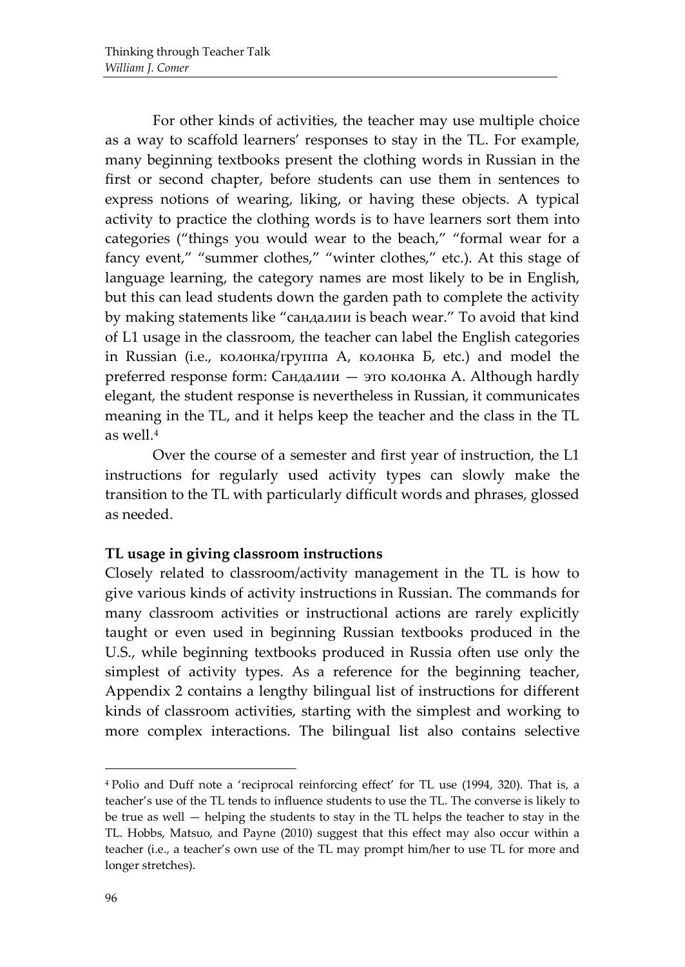For other kinds of activities, the teacher may use multiple choice as a way to scaffold learners' responses to stay in the TL. For example, many beginning textbooks present the clothing words in Russian in the first or second chapter, before students can use them in sentences to express notions of wearing, liking, or having these objects. A typical activity to practice the clothing words is to have learners sort them into categories ("things you would wear to the beach," "formal wear for a fancy event," "summer clothes," "winter clothes," etc.). At this stage of language learning, the category names are most likely to be in English, but this can lead students down the garden path to complete the activity by making statements like "сандалии is beach wear." To avoid that kind of L1 usage in the classroom, the teacher can label the English categories in Russian (i.e., колонка/группа А, колонка Б, etc.) and model the preferred response form: Сандалии — это колонка А. Although hardly elegant, the student response is nevertheless in Russian, it communicates meaning in the TL, and it helps keep the teacher and the class in the TL as well.[4](#page-8-0)

Over the course of a semester and first year of instruction, the L1 instructions for regularly used activity types can slowly make the transition to the TL with particularly difficult words and phrases, glossed as needed.

#### **TL usage in giving classroom instructions**

Closely related to classroom/activity management in the TL is how to give various kinds of activity instructions in Russian. The commands for many classroom activities or instructional actions are rarely explicitly taught or even used in beginning Russian textbooks produced in the U.S., while beginning textbooks produced in Russia often use only the simplest of activity types. As a reference for the beginning teacher, Appendix 2 contains a lengthy bilingual list of instructions for different kinds of classroom activities, starting with the simplest and working to more complex interactions. The bilingual list also contains selective

<span id="page-8-0"></span><sup>4</sup> Polio and Duff note a 'reciprocal reinforcing effect' for TL use (1994, 320). That is, a teacher's use of the TL tends to influence students to use the TL. The converse is likely to be true as well — helping the students to stay in the TL helps the teacher to stay in the TL. Hobbs, Matsuo, and Payne (2010) suggest that this effect may also occur within a teacher (i.e., a teacher's own use of the TL may prompt him/her to use TL for more and longer stretches).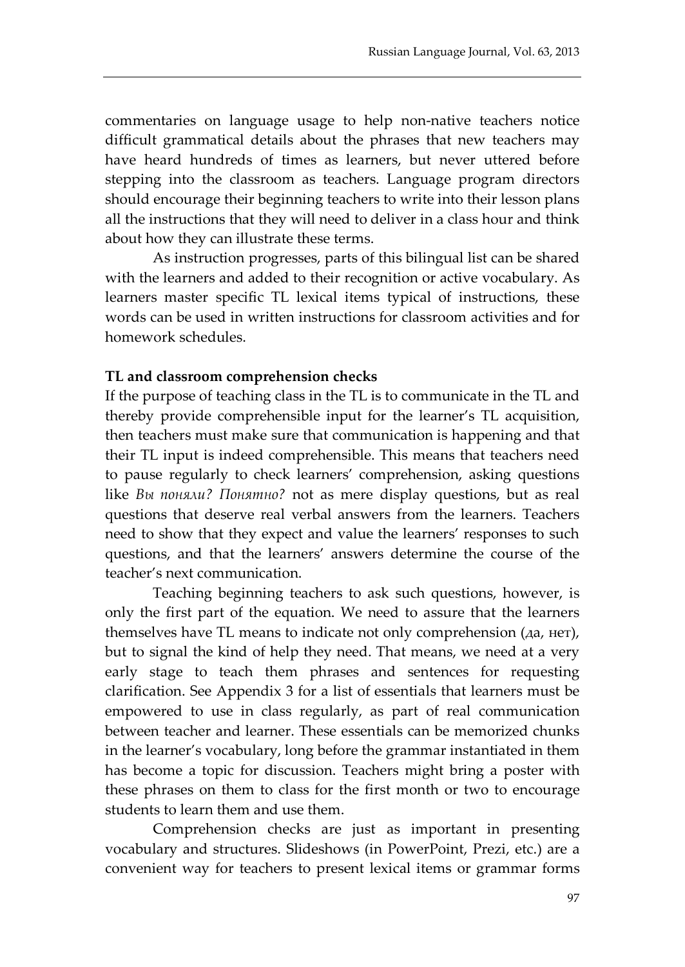commentaries on language usage to help non-native teachers notice difficult grammatical details about the phrases that new teachers may have heard hundreds of times as learners, but never uttered before stepping into the classroom as teachers. Language program directors should encourage their beginning teachers to write into their lesson plans all the instructions that they will need to deliver in a class hour and think about how they can illustrate these terms.

As instruction progresses, parts of this bilingual list can be shared with the learners and added to their recognition or active vocabulary. As learners master specific TL lexical items typical of instructions, these words can be used in written instructions for classroom activities and for homework schedules.

#### **TL and classroom comprehension checks**

If the purpose of teaching class in the TL is to communicate in the TL and thereby provide comprehensible input for the learner's TL acquisition, then teachers must make sure that communication is happening and that their TL input is indeed comprehensible. This means that teachers need to pause regularly to check learners' comprehension, asking questions like *Вы поняли? Понятно?* not as mere display questions, but as real questions that deserve real verbal answers from the learners. Teachers need to show that they expect and value the learners' responses to such questions, and that the learners' answers determine the course of the teacher's next communication.

Teaching beginning teachers to ask such questions, however, is only the first part of the equation. We need to assure that the learners themselves have TL means to indicate not only comprehension (да, нет), but to signal the kind of help they need. That means, we need at a very early stage to teach them phrases and sentences for requesting clarification. See Appendix 3 for a list of essentials that learners must be empowered to use in class regularly, as part of real communication between teacher and learner. These essentials can be memorized chunks in the learner's vocabulary, long before the grammar instantiated in them has become a topic for discussion. Teachers might bring a poster with these phrases on them to class for the first month or two to encourage students to learn them and use them.

Comprehension checks are just as important in presenting vocabulary and structures. Slideshows (in PowerPoint, Prezi, etc.) are a convenient way for teachers to present lexical items or grammar forms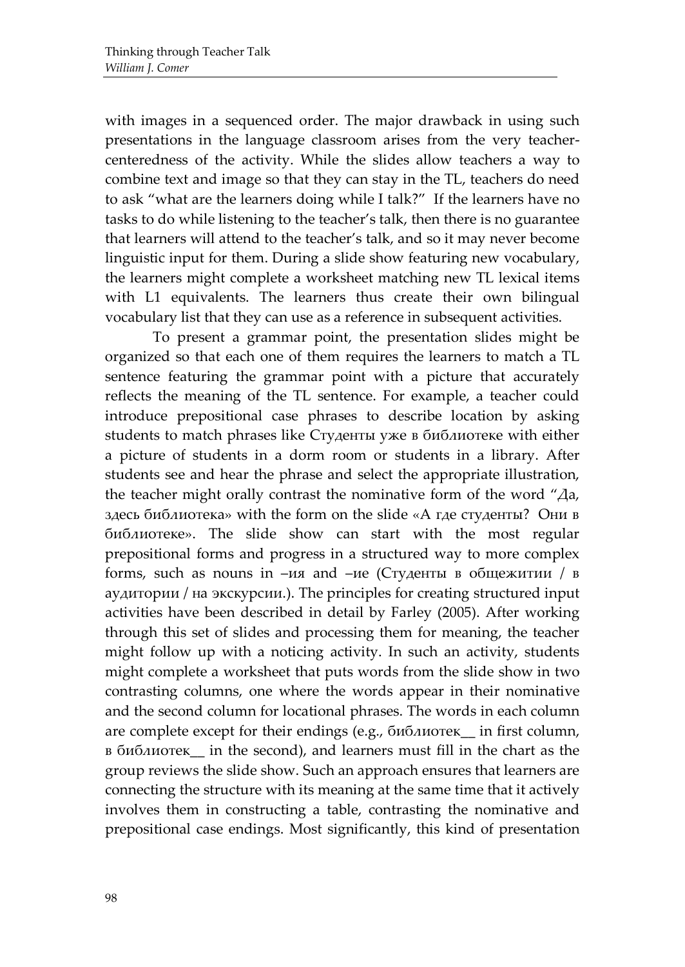with images in a sequenced order. The major drawback in using such presentations in the language classroom arises from the very teachercenteredness of the activity. While the slides allow teachers a way to combine text and image so that they can stay in the TL, teachers do need to ask "what are the learners doing while I talk?" If the learners have no tasks to do while listening to the teacher's talk, then there is no guarantee that learners will attend to the teacher's talk, and so it may never become linguistic input for them. During a slide show featuring new vocabulary, the learners might complete a worksheet matching new TL lexical items with L1 equivalents. The learners thus create their own bilingual vocabulary list that they can use as a reference in subsequent activities.

To present a grammar point, the presentation slides might be organized so that each one of them requires the learners to match a TL sentence featuring the grammar point with a picture that accurately reflects the meaning of the TL sentence. For example, a teacher could introduce prepositional case phrases to describe location by asking students to match phrases like Студенты уже в библиотеке with either a picture of students in a dorm room or students in a library. After students see and hear the phrase and select the appropriate illustration, the teacher might orally contrast the nominative form of the word "Да, здесь библиотека» with the form on the slide «А где студенты? Они в библиотеке». The slide show can start with the most regular prepositional forms and progress in a structured way to more complex forms, such as nouns in –ия and –ие (Студенты в общежитии / в аудитории / на экскурсии.). The principles for creating structured input activities have been described in detail by Farley (2005). After working through this set of slides and processing them for meaning, the teacher might follow up with a noticing activity. In such an activity, students might complete a worksheet that puts words from the slide show in two contrasting columns, one where the words appear in their nominative and the second column for locational phrases. The words in each column are complete except for their endings (e.g., библиотек\_\_ in first column, в библиотек\_\_ in the second), and learners must fill in the chart as the group reviews the slide show. Such an approach ensures that learners are connecting the structure with its meaning at the same time that it actively involves them in constructing a table, contrasting the nominative and prepositional case endings. Most significantly, this kind of presentation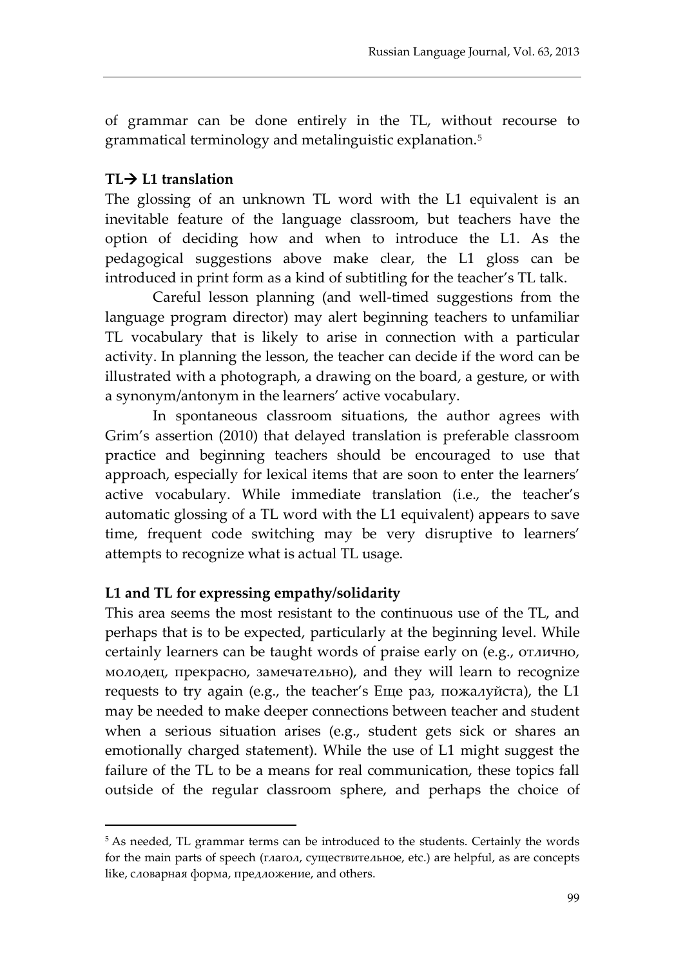of grammar can be done entirely in the TL, without recourse to grammatical terminology and metalinguistic explanation.[5](#page-11-0)

## **TL L1 translation**

 $\overline{a}$ 

The glossing of an unknown TL word with the L1 equivalent is an inevitable feature of the language classroom, but teachers have the option of deciding how and when to introduce the L1. As the pedagogical suggestions above make clear, the L1 gloss can be introduced in print form as a kind of subtitling for the teacher's TL talk.

Careful lesson planning (and well-timed suggestions from the language program director) may alert beginning teachers to unfamiliar TL vocabulary that is likely to arise in connection with a particular activity. In planning the lesson, the teacher can decide if the word can be illustrated with a photograph, a drawing on the board, a gesture, or with a synonym/antonym in the learners' active vocabulary.

In spontaneous classroom situations, the author agrees with Grim's assertion (2010) that delayed translation is preferable classroom practice and beginning teachers should be encouraged to use that approach, especially for lexical items that are soon to enter the learners' active vocabulary. While immediate translation (i.e., the teacher's automatic glossing of a TL word with the L1 equivalent) appears to save time, frequent code switching may be very disruptive to learners' attempts to recognize what is actual TL usage.

## **L1 and TL for expressing empathy/solidarity**

This area seems the most resistant to the continuous use of the TL, and perhaps that is to be expected, particularly at the beginning level. While certainly learners can be taught words of praise early on (e.g., отлично, молодец, прекрасно, замечательно), and they will learn to recognize requests to try again (e.g., the teacher's Еще раз, пожалуйста), the L1 may be needed to make deeper connections between teacher and student when a serious situation arises (e.g., student gets sick or shares an emotionally charged statement). While the use of L1 might suggest the failure of the TL to be a means for real communication, these topics fall outside of the regular classroom sphere, and perhaps the choice of

<span id="page-11-0"></span><sup>5</sup> As needed, TL grammar terms can be introduced to the students. Certainly the words for the main parts of speech (глагол, существительное, etc.) are helpful, as are concepts like, словарная форма, предложение, and others.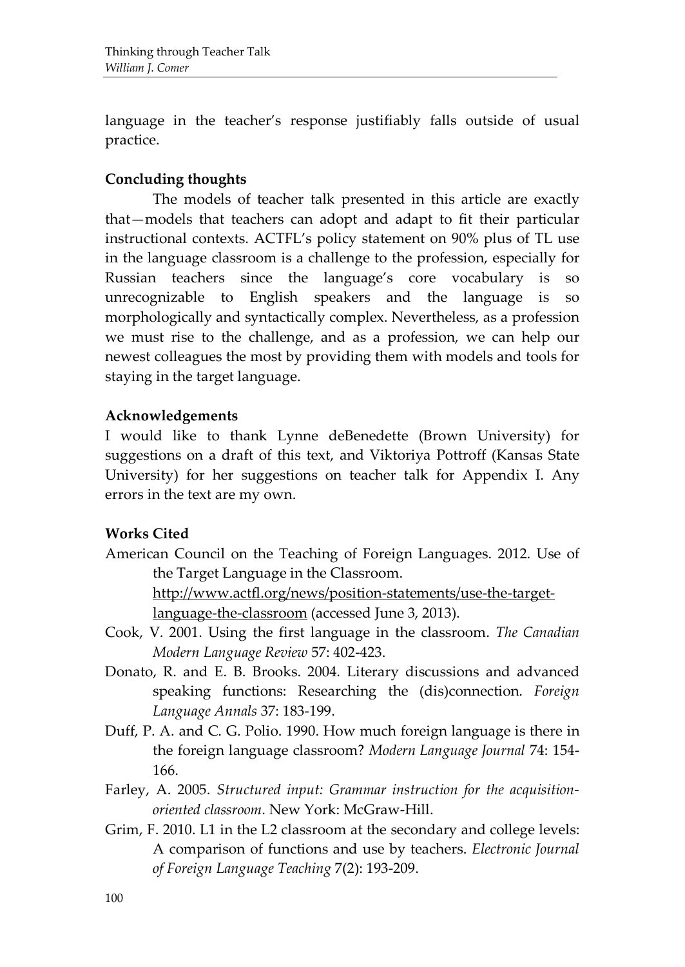language in the teacher's response justifiably falls outside of usual practice.

## **Concluding thoughts**

The models of teacher talk presented in this article are exactly that—models that teachers can adopt and adapt to fit their particular instructional contexts. ACTFL's policy statement on 90% plus of TL use in the language classroom is a challenge to the profession, especially for Russian teachers since the language's core vocabulary is so unrecognizable to English speakers and the language is so morphologically and syntactically complex. Nevertheless, as a profession we must rise to the challenge, and as a profession, we can help our newest colleagues the most by providing them with models and tools for staying in the target language.

### **Acknowledgements**

I would like to thank Lynne deBenedette (Brown University) for suggestions on a draft of this text, and Viktoriya Pottroff (Kansas State University) for her suggestions on teacher talk for Appendix I. Any errors in the text are my own.

## **Works Cited**

American Council on the Teaching of Foreign Languages. 2012. Use of the Target Language in the Classroom.

[http://www.actfl.org/news/position-statements/use-the-target](http://www.actfl.org/news/position-statements/use-the-target-language-the-classroom)[language-the-classroom](http://www.actfl.org/news/position-statements/use-the-target-language-the-classroom) (accessed June 3, 2013).

- Cook, V. 2001. Using the first language in the classroom. *The Canadian Modern Language Review* 57: 402-423.
- Donato, R. and E. B. Brooks. 2004. Literary discussions and advanced speaking functions: Researching the (dis)connection. *Foreign Language Annals* 37: 183-199.
- Duff, P. A. and C. G. Polio. 1990. How much foreign language is there in the foreign language classroom? *Modern Language Journal* 74: 154- 166.
- Farley, A. 2005. *Structured input: Grammar instruction for the acquisitionoriented classroom*. New York: McGraw-Hill.
- Grim, F. 2010. L1 in the L2 classroom at the secondary and college levels: A comparison of functions and use by teachers. *Electronic Journal of Foreign Language Teaching* 7(2): 193-209.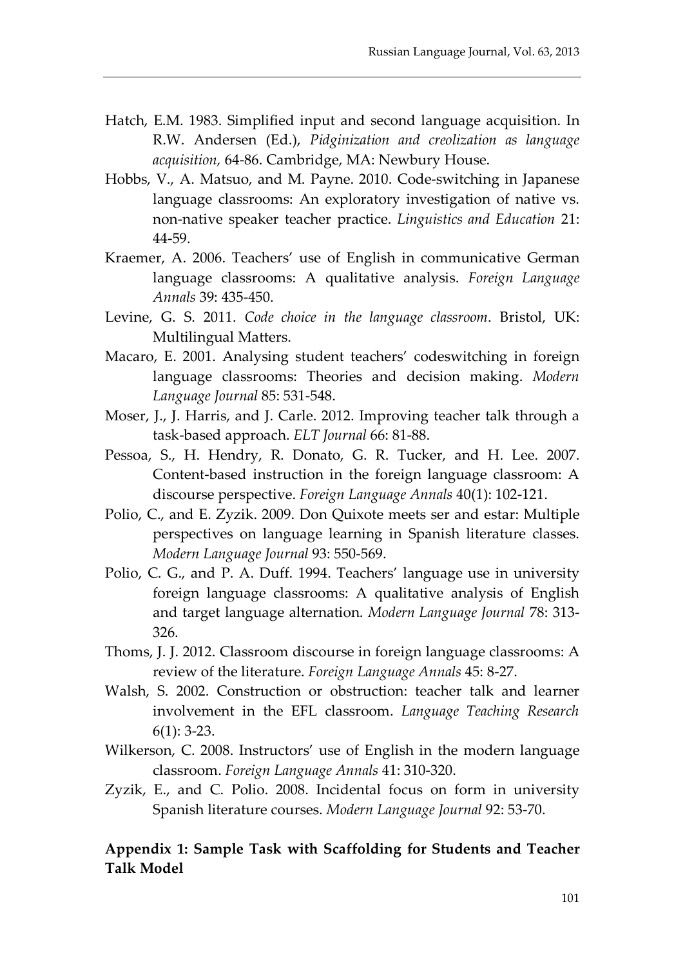- Hatch, E.M. 1983. Simplified input and second language acquisition. In R.W. Andersen (Ed.), *Pidginization and creolization as language acquisition,* 64-86. Cambridge, MA: Newbury House.
- Hobbs, V., A. Matsuo, and M. Payne. 2010. Code-switching in Japanese language classrooms: An exploratory investigation of native vs. non-native speaker teacher practice. *Linguistics and Education* 21: 44-59.
- Kraemer, A. 2006. Teachers' use of English in communicative German language classrooms: A qualitative analysis. *Foreign Language Annals* 39: 435-450.
- Levine, G. S. 2011. *Code choice in the language classroom*. Bristol, UK: Multilingual Matters.
- Macaro, E. 2001. Analysing student teachers' codeswitching in foreign language classrooms: Theories and decision making. *Modern Language Journal* 85: 531-548.
- Moser, J., J. Harris, and J. Carle. 2012. Improving teacher talk through a task-based approach. *ELT Journal* 66: 81-88.
- Pessoa, S., H. Hendry, R. Donato, G. R. Tucker, and H. Lee. 2007. Content-based instruction in the foreign language classroom: A discourse perspective. *Foreign Language Annals* 40(1): 102-121.
- Polio, C., and E. Zyzik. 2009. Don Quixote meets ser and estar: Multiple perspectives on language learning in Spanish literature classes. *Modern Language Journal* 93: 550-569.
- Polio, C. G., and P. A. Duff. 1994. Teachers' language use in university foreign language classrooms: A qualitative analysis of English and target language alternation. *Modern Language Journal* 78: 313- 326.
- Thoms, J. J. 2012. Classroom discourse in foreign language classrooms: A review of the literature. *Foreign Language Annals* 45: 8-27.
- Walsh, S. 2002. Construction or obstruction: teacher talk and learner involvement in the EFL classroom. *Language Teaching Research* 6(1): 3-23.
- Wilkerson, C. 2008. Instructors' use of English in the modern language classroom. *Foreign Language Annals* 41: 310-320.
- Zyzik, E., and C. Polio. 2008. Incidental focus on form in university Spanish literature courses. *Modern Language Journal* 92: 53-70.

## **Appendix 1: Sample Task with Scaffolding for Students and Teacher Talk Model**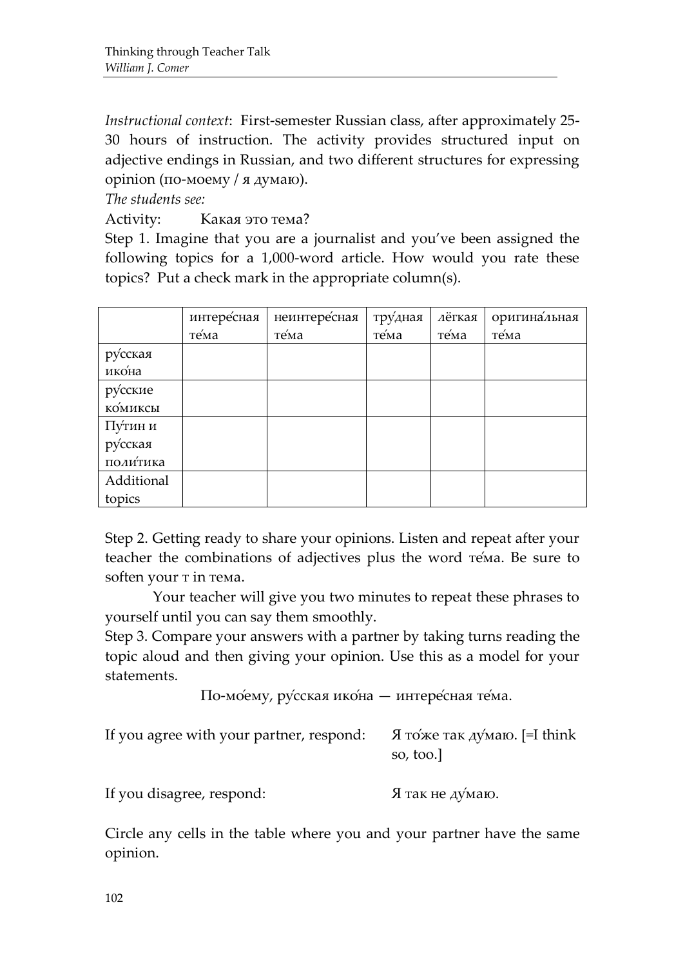*Instructional context*: First-semester Russian class, after approximately 25- 30 hours of instruction. The activity provides structured input on adjective endings in Russian, and two different structures for expressing opinion (по-моему / я думаю).

*The students see:*

Activity: Какая это тема?

Step 1. Imagine that you are a journalist and you've been assigned the following topics for a 1,000-word article. How would you rate these topics? Put a check mark in the appropriate column(s).

|            | интересная | неинтересная | тру́дная | лёгкая | оригина <sup>льная</sup> |
|------------|------------|--------------|----------|--------|--------------------------|
|            | те́ма      | те́ма        | те́ма    | тема   | тема                     |
| русская    |            |              |          |        |                          |
| икона      |            |              |          |        |                          |
| русские    |            |              |          |        |                          |
| комиксы    |            |              |          |        |                          |
| Пу́тин и   |            |              |          |        |                          |
| русская    |            |              |          |        |                          |
| политика   |            |              |          |        |                          |
| Additional |            |              |          |        |                          |
| topics     |            |              |          |        |                          |

Step 2. Getting ready to share your opinions. Listen and repeat after your teacher the combinations of adjectives plus the word те́ма. Be sure to soften your  $\tau$  in тема.

Your teacher will give you two minutes to repeat these phrases to yourself until you can say them smoothly.

Step 3. Compare your answers with a partner by taking turns reading the topic aloud and then giving your opinion. Use this as a model for your statements.

По-мо́ему, ру́сская ико́на — интере́сная те́ма.

|                               | If you agree with your partner, respond: $\alpha$ $\beta$ то же так думаю. [=I think | so, too. |  |
|-------------------------------|--------------------------------------------------------------------------------------|----------|--|
| $\mathbf{r}$ and $\mathbf{r}$ |                                                                                      |          |  |

If you disagree, respond: Я так не думаю.

Circle any cells in the table where you and your partner have the same opinion.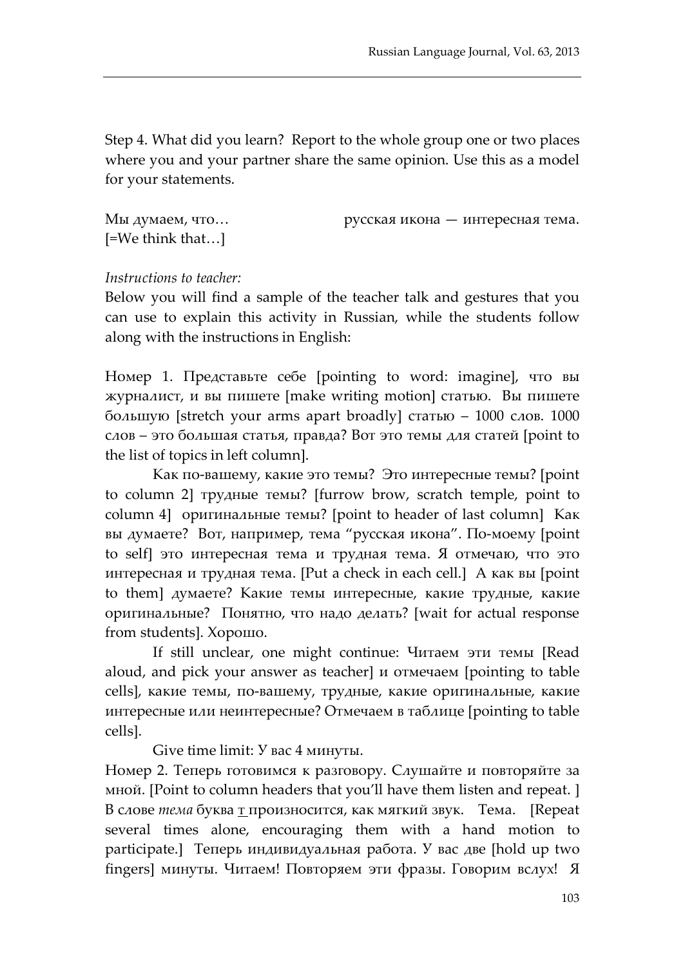Step 4. What did you learn? Report to the whole group one or two places where you and your partner share the same opinion. Use this as a model for your statements.

| Мы думаем, что     | русская икона — интересная тема. |
|--------------------|----------------------------------|
| $[=We think that]$ |                                  |

### *Instructions to teacher:*

Below you will find a sample of the teacher talk and gestures that you can use to explain this activity in Russian, while the students follow along with the instructions in English:

Номер 1. Представьте себе [pointing to word: imagine], что вы журналист, и вы пишете [make writing motion] статью. Вы пишете большую [stretch your arms apart broadly] статью – 1000 слов. 1000 слов – это большая статья, правда? Вот это темы для статей [point to the list of topics in left column].

Как по-вашему, какие это темы? Это интересные темы? [point to column 2] трудные темы? [furrow brow, scratch temple, point to column 4] оригинальные темы? [point to header of last column] Как вы думаете? Вот, например, тема "русская икона". По-моему [point to self] это интересная тема и трудная тема. Я отмечаю, что это интересная и трудная тема. [Put a check in each cell.] А как вы [point to them] думаете? Какие темы интересные, какие трудные, какие оригинальные? Понятно, что надо делать? [wait for actual response from students]. Хорошо.

If still unclear, one might continue: Читаем эти темы [Read aloud, and pick your answer as teacher] и отмечаем [pointing to table cells], какие темы, по-вашему, трудные, какие оригинальные, какие интересные или неинтересные? Отмечаем в таблице [pointing to table cells].

Give time limit: У вас 4 минуты.

Номер 2. Теперь готовимся к разговору. Слушайте и повторяйте за мной. [Point to column headers that you'll have them listen and repeat. ] В слове *тема* буква т произносится, как мягкий звук. Тема. [Repeat several times alone, encouraging them with a hand motion to participate.] Теперь индивидуальная работа. У вас две [hold up two fingers] минуты. Читаем! Повторяем эти фразы. Говорим вслух! Я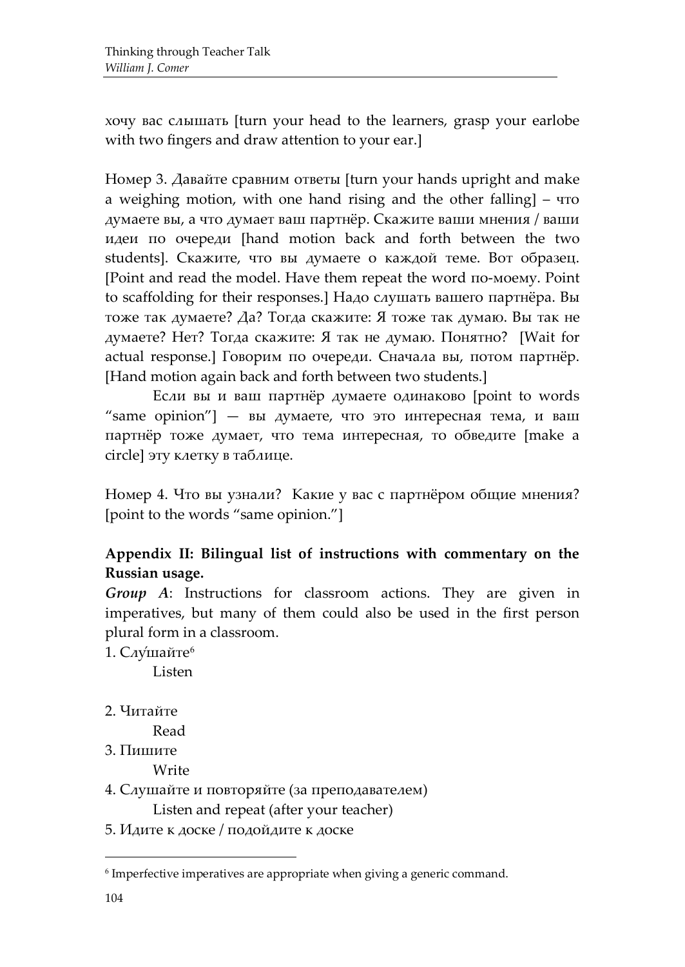хочу вас слышать [turn your head to the learners, grasp your earlobe with two fingers and draw attention to your ear.]

Номер 3. Давайте сравним ответы [turn your hands upright and make a weighing motion, with one hand rising and the other falling] – что думаете вы, а что думает ваш партнёр. Скажите ваши мнения / ваши идеи по очереди [hand motion back and forth between the two students]. Скажите, что вы думаете о каждой теме. Вот образец. [Point and read the model. Have them repeat the word по-моему. Point to scaffolding for their responses.] Надо слушать вашего партнёра. Вы тоже так думаете? Да? Тогда скажите: Я тоже так думаю. Вы так не думаете? Нет? Тогда скажите: Я так не думаю. Понятно? [Wait for actual response.] Говорим по очереди. Сначала вы, потом партнёр. [Hand motion again back and forth between two students.]

Если вы и ваш партнёр думаете одинаково [point to words "same opinion"] — вы думаете, что это интересная тема, и ваш партнёр тоже думает, что тема интересная, то обведите [make a circle] эту клетку в таблице.

Номер 4. Что вы узнали? Какие у вас с партнёром общие мнения? [point to the words "same opinion."]

## **Appendix II: Bilingual list of instructions with commentary on the Russian usage.**

*Group A*: Instructions for classroom actions. They are given in imperatives, but many of them could also be used in the first person plural form in a classroom.

1. Слу́шайте<sup>[6](#page-16-0)</sup>

Listen

2. Читайте

Read

3. Пишите

Write

- 4. Слушайте и повторяйте (за преподавателем) Listen and repeat (after your teacher)
- 5. Идите к доске / подойдите к доске

<span id="page-16-0"></span><sup>6</sup> Imperfective imperatives are appropriate when giving a generic command.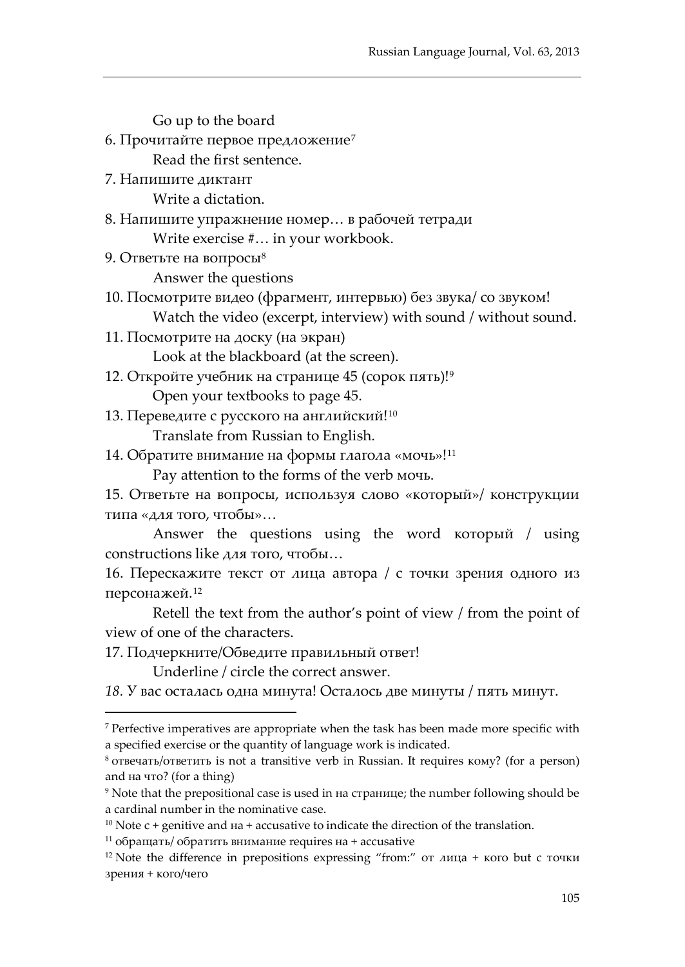Go up to the board 6. Прочитайте первое предложение[7](#page-17-0) Read the first sentence. 7. Напишите диктант Write a dictation. 8. Напишите упражнение номер… в рабочей тетради Write exercise #… in your workbook. 9. Ответьте на вопросы[8](#page-17-1) Answer the questions 10. Посмотрите видео (фрагмент, интервью) без звука/ со звуком! Watch the video (excerpt, interview) with sound / without sound. 11. Посмотрите на доску (на экран) Look at the blackboard (at the screen). 12. Откройте учебник на странице 45 (сорок пять)![9](#page-17-2)

Open your textbooks to page 45.

13. Переведите с русского на английский!<sup>[10](#page-17-3)</sup>

Translate from Russian to English.

14. Обратите внимание на формы глагола «мочь»!<sup>[11](#page-17-4)</sup>

Pay attention to the forms of the verb мочь.

15. Ответьте на вопросы, используя слово «который»/ конструкции типа «для того, чтобы»…

Answer the questions using the word который / using constructions like для того, чтобы…

16. Перескажите текст от лица автора / с точки зрения одного из персонажей.[12](#page-17-5)

Retell the text from the author's point of view / from the point of view of one of the characters.

17. Подчеркните/Обведите правильный ответ!

 $\overline{a}$ 

Underline / circle the correct answer.

*18.* У вас осталась одна минута! Осталось две минуты / пять минут.

<span id="page-17-4"></span><sup>11</sup> обращать/ обратить внимание requires на + accusative

<span id="page-17-0"></span><sup>7</sup> Perfective imperatives are appropriate when the task has been made more specific with a specified exercise or the quantity of language work is indicated.

<span id="page-17-1"></span><sup>8</sup> отвечать/ответить is not a transitive verb in Russian. It requires кому? (for a person) and на что? (for a thing)

<span id="page-17-2"></span><sup>9</sup> Note that the prepositional case is used in на странице; the number following should be a cardinal number in the nominative case.

<span id="page-17-3"></span> $10$  Note c + genitive and  $Ha +$  accusative to indicate the direction of the translation.

<span id="page-17-5"></span><sup>&</sup>lt;sup>12</sup> Note the difference in prepositions expressing "from:" от лица + кого but с точки зрения + кого/чего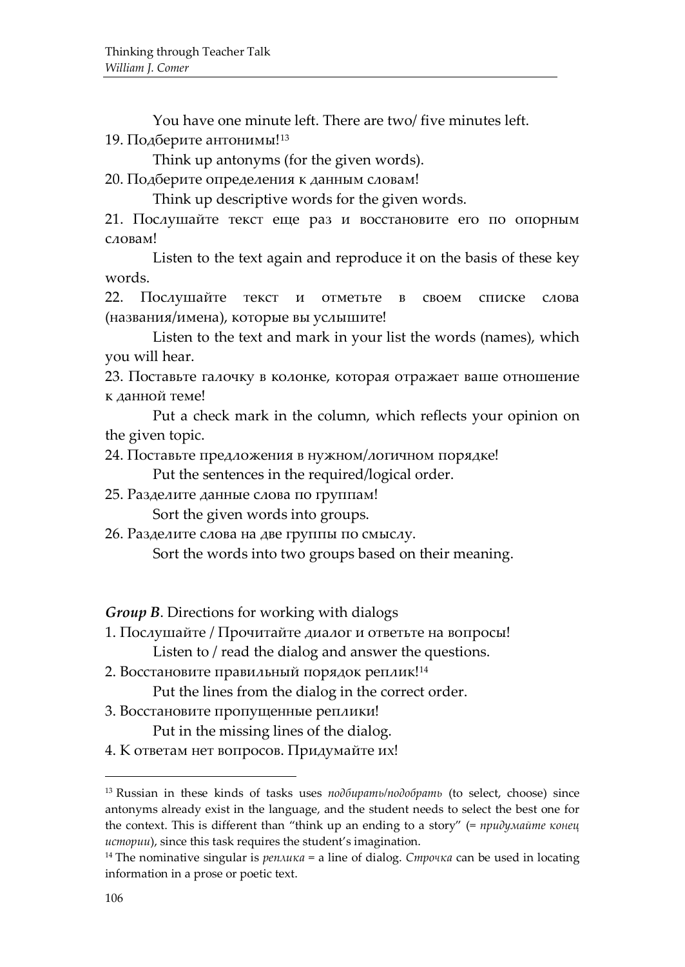You have one minute left. There are two/ five minutes left. 19. Подберите антонимы!<sup>[13](#page-18-0)</sup>

Think up antonyms (for the given words).

20. Подберите определения к данным словам!

Think up descriptive words for the given words.

21. Послушайте текст еще раз и восстановите его по опорным словам!

Listen to the text again and reproduce it on the basis of these key words.

22. Послушайте текст и отметьте в своем списке слова (названия/имена), которые вы услышите!

Listen to the text and mark in your list the words (names), which you will hear.

23. Поставьте галочку в колонке, которая отражает ваше отношение к данной теме!

Put a check mark in the column, which reflects your opinion on the given topic.

24. Поставьте предложения в нужном/логичном порядке!

Put the sentences in the required/logical order.

25. Разделите данные слова по группам!

Sort the given words into groups.

26. Разделите слова на две группы по смыслу.

Sort the words into two groups based on their meaning.

*Group B*. Directions for working with dialogs

1. Послушайте / Прочитайте диалог и ответьте на вопросы! Listen to / read the dialog and answer the questions.

2. Восстановите правильный порядок реплик![14](#page-18-1)

Put the lines from the dialog in the correct order.

3. Восстановите пропущенные реплики!

Put in the missing lines of the dialog.

4. К ответам нет вопросов. Придумайте их!

<span id="page-18-0"></span><sup>13</sup> Russian in these kinds of tasks uses *подбирать/подобрать* (to select, choose) since antonyms already exist in the language, and the student needs to select the best one for the context. This is different than "think up an ending to a story" (= *придумайте конец истории*), since this task requires the student's imagination.

<span id="page-18-1"></span><sup>14</sup> The nominative singular is *реплика* = a line of dialog. *Строчка* can be used in locating information in a prose or poetic text.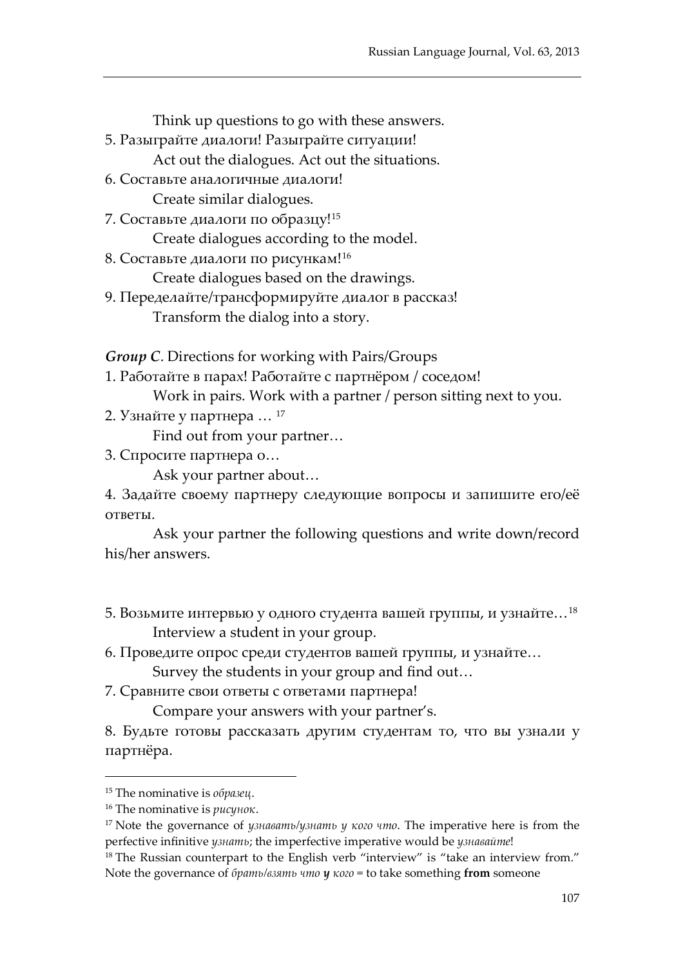| Think up questions to go with these answers.                     |
|------------------------------------------------------------------|
| 5. Разыграйте диалоги! Разыграйте ситуации!                      |
| Act out the dialogues. Act out the situations.                   |
| 6. Составьте аналогичные диалоги!                                |
| Create similar dialogues.                                        |
| 7. Составьте диалоги по образцу! <sup>15</sup>                   |
| Create dialogues according to the model.                         |
| 8. Составьте диалоги по рисункам! <sup>16</sup>                  |
| Create dialogues based on the drawings.                          |
| 9. Переделайте/трансформируйте диалог в рассказ!                 |
| Transform the dialog into a story.                               |
| <b>Group C.</b> Directions for working with Pairs/Groups         |
| 1. Работайте в парах! Работайте с партнёром / соседом!           |
| Work in pairs. Work with a partner / person sitting next to you. |

2. Узнайте у партнера … [17](#page-19-2)

Find out from your partner…

3. Спросите партнера о…

Ask your partner about…

4. Задайте своему партнеру следующие вопросы и запишите его/её ответы.

Ask your partner the following questions and write down/record his/her answers.

- 5. Возьмите интервью у одного студента вашей группы, и узнайте…[18](#page-19-3) Interview a student in your group.
- 6. Проведите опрос среди студентов вашей группы, и узнайте…

Survey the students in your group and find out…

7. Сравните свои ответы с ответами партнера!

Compare your answers with your partner's.

8. Будьте готовы рассказать другим студентам то, что вы узнали у партнёра.

<span id="page-19-0"></span><sup>15</sup> The nominative is *образец*.

<span id="page-19-1"></span><sup>16</sup> The nominative is *рисунок*.

<span id="page-19-2"></span><sup>17</sup> Note the governance of *узнавать/узнать у кого что*. The imperative here is from the perfective infinitive *узнать*; the imperfective imperative would be *узнавайте*!

<span id="page-19-3"></span><sup>&</sup>lt;sup>18</sup> The Russian counterpart to the English verb "interview" is "take an interview from." Note the governance of *брать/взять что у кого* = to take something **from** someone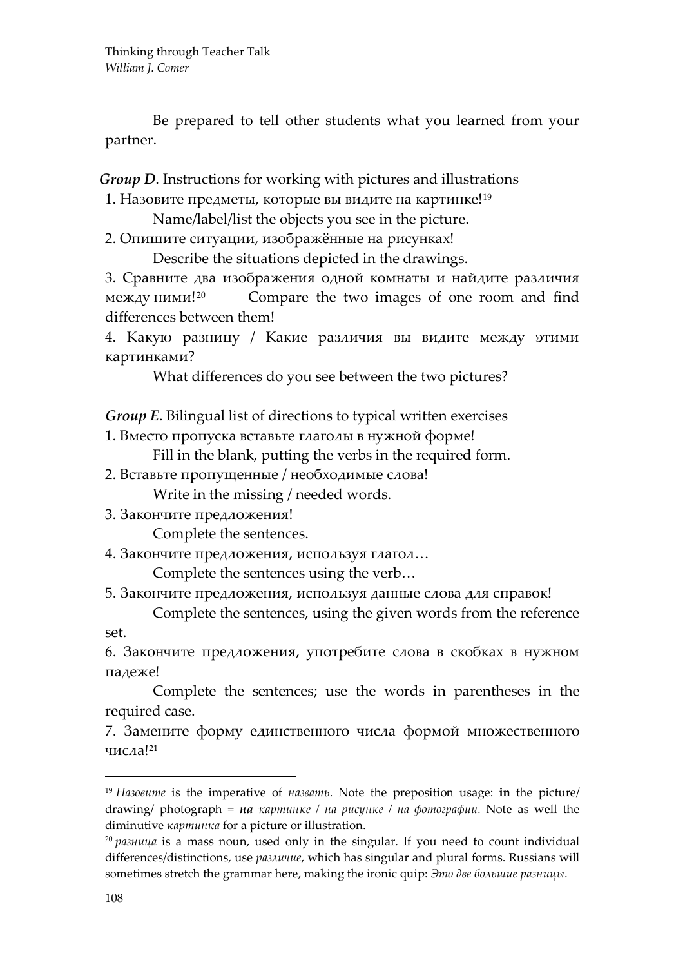Be prepared to tell other students what you learned from your partner.

*Group D*. Instructions for working with pictures and illustrations

1. Назовите предметы, которые вы видите на картинке![19](#page-20-0)

Name/label/list the objects you see in the picture.

2. Опишите ситуации, изображённые на рисунках!

Describe the situations depicted in the drawings.

3. Сравните два изображения одной комнаты и найдите различия между ними![20](#page-20-1) Compare the two images of one room and find differences between them!

4. Какую разницу / Какие различия вы видите между этими картинками?

What differences do you see between the two pictures?

*Group E*. Bilingual list of directions to typical written exercises

1. Вместо пропуска вставьте глаголы в нужной форме!

Fill in the blank, putting the verbs in the required form.

2. Вставьте пропущенные / необходимые слова!

Write in the missing / needed words.

3. Закончите предложения!

Complete the sentences.

4. Закончите предложения, используя глагол…

Complete the sentences using the verb…

5. Закончите предложения, используя данные слова для справок!

Complete the sentences, using the given words from the reference set.

6. Закончите предложения, употребите слова в скобках в нужном падеже!

Complete the sentences; use the words in parentheses in the required case.

7. Замените форму единственного числа формой множественного числа![21](#page-20-2)

<span id="page-20-2"></span><span id="page-20-0"></span><sup>19</sup> *Назовите* is the imperative of *назвать*. Note the preposition usage: **in** the picture/ drawing/ photograph = *на картинке / на рисунке / на фотографии.* Note as well the diminutive *картинка* for a picture or illustration.

<span id="page-20-1"></span><sup>20</sup> *разница* is a mass noun, used only in the singular. If you need to count individual differences/distinctions, use *различие*, which has singular and plural forms. Russians will sometimes stretch the grammar here, making the ironic quip: *Это две большие разницы*.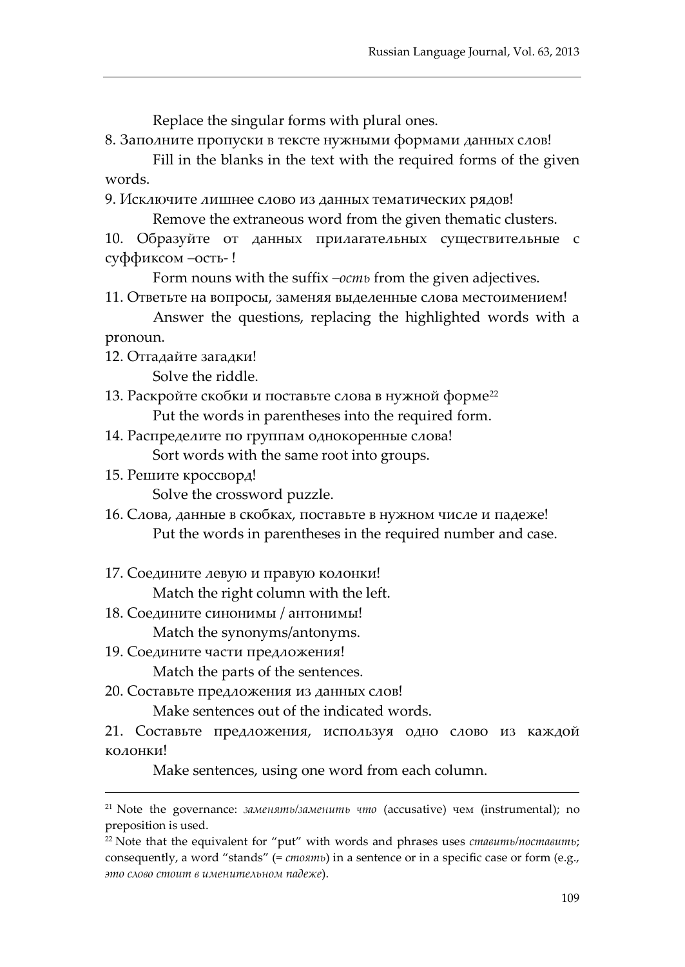Replace the singular forms with plural ones.

8. Заполните пропуски в тексте нужными формами данных слов!

Fill in the blanks in the text with the required forms of the given words.

9. Исключите лишнее слово из данных тематических рядов! Remove the extraneous word from the given thematic clusters.

10. Образуйте от данных прилагательных существительные с суффиксом –ость- !

Form nouns with the suffix *–ость* from the given adjectives.

11. Ответьте на вопросы, заменяя выделенные слова местоимением! Answer the questions, replacing the highlighted words with a

pronoun.

 $\overline{a}$ 

12. Отгадайте загадки!

Solve the riddle.

13. Раскройте скобки и поставьте слова в нужной форме<sup>[22](#page-21-0)</sup> Put the words in parentheses into the required form.

- 14. Распределите по группам однокоренные слова! Sort words with the same root into groups.
- 15. Решите кроссворд!

Solve the crossword puzzle.

- 16. Слова, данные в скобках, поставьте в нужном числе и падеже! Put the words in parentheses in the required number and case.
- 17. Соедините левую и правую колонки!

Match the right column with the left.

18. Соедините синонимы / антонимы!

Match the synonyms/antonyms.

19. Соедините части предложения!

Match the parts of the sentences.

20. Составьте предложения из данных слов!

Make sentences out of the indicated words.

21. Составьте предложения, используя одно слово из каждой колонки!

Make sentences, using one word from each column.

<sup>21</sup> Note the governance: *заменять/заменить что* (accusative) чем (instrumental); no preposition is used.

<span id="page-21-0"></span><sup>22</sup> Note that the equivalent for "put" with words and phrases uses *ставить/поставить*; consequently, a word "stands" (= *стоять*) in a sentence or in a specific case or form (e.g., *это слово стоит в именительном падеже*).